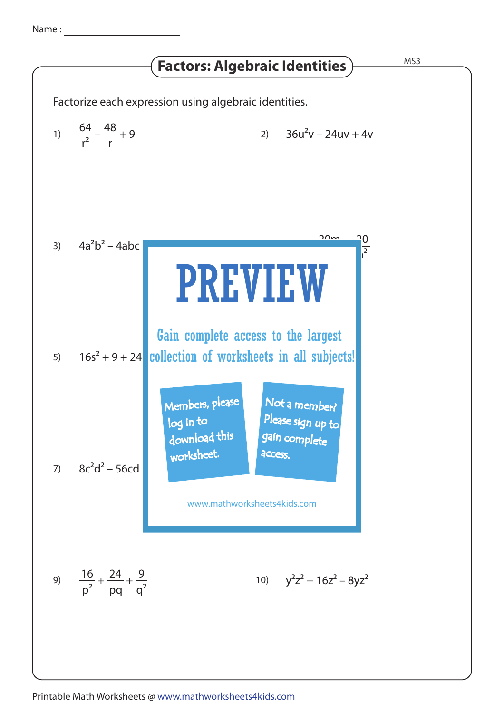